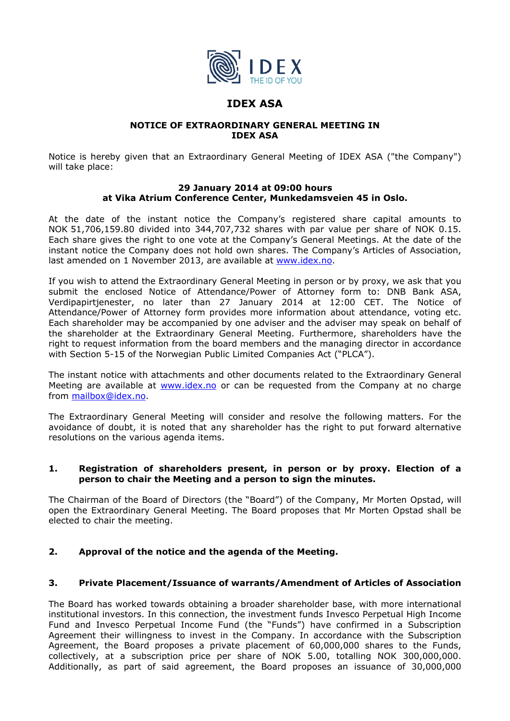

# **IDEX ASA**

### **NOTICE OF EXTRAORDINARY GENERAL MEETING IN IDEX ASA**

Notice is hereby given that an Extraordinary General Meeting of IDEX ASA ("the Company") will take place:

### **29 January 2014 at 09:00 hours at Vika Atrium Conference Center, Munkedamsveien 45 in Oslo.**

At the date of the instant notice the Company's registered share capital amounts to NOK 51,706,159.80 divided into 344,707,732 shares with par value per share of NOK 0.15. Each share gives the right to one vote at the Company's General Meetings. At the date of the instant notice the Company does not hold own shares. The Company's Articles of Association, last amended on 1 November 2013, are available at www.idex.no.

If you wish to attend the Extraordinary General Meeting in person or by proxy, we ask that you submit the enclosed Notice of Attendance/Power of Attorney form to: DNB Bank ASA, Verdipapirtjenester, no later than 27 January 2014 at 12:00 CET. The Notice of Attendance/Power of Attorney form provides more information about attendance, voting etc. Each shareholder may be accompanied by one adviser and the adviser may speak on behalf of the shareholder at the Extraordinary General Meeting. Furthermore, shareholders have the right to request information from the board members and the managing director in accordance with Section 5-15 of the Norwegian Public Limited Companies Act ("PLCA").

The instant notice with attachments and other documents related to the Extraordinary General Meeting are available at www.idex.no or can be requested from the Company at no charge from mailbox@idex.no.

The Extraordinary General Meeting will consider and resolve the following matters. For the avoidance of doubt, it is noted that any shareholder has the right to put forward alternative resolutions on the various agenda items.

### **1. Registration of shareholders present, in person or by proxy. Election of a person to chair the Meeting and a person to sign the minutes.**

The Chairman of the Board of Directors (the "Board") of the Company, Mr Morten Opstad, will open the Extraordinary General Meeting. The Board proposes that Mr Morten Opstad shall be elected to chair the meeting.

# **2. Approval of the notice and the agenda of the Meeting.**

## **3. Private Placement/Issuance of warrants/Amendment of Articles of Association**

The Board has worked towards obtaining a broader shareholder base, with more international institutional investors. In this connection, the investment funds Invesco Perpetual High Income Fund and Invesco Perpetual Income Fund (the "Funds") have confirmed in a Subscription Agreement their willingness to invest in the Company. In accordance with the Subscription Agreement, the Board proposes a private placement of 60,000,000 shares to the Funds, collectively, at a subscription price per share of NOK 5.00, totalling NOK 300,000,000. Additionally, as part of said agreement, the Board proposes an issuance of 30,000,000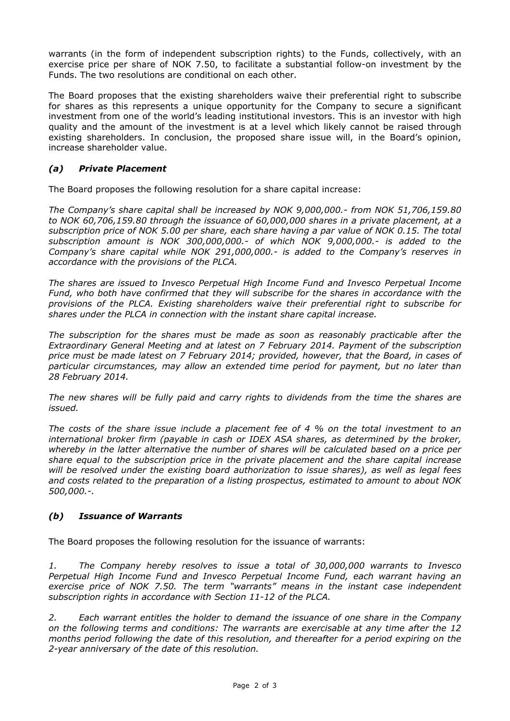warrants (in the form of independent subscription rights) to the Funds, collectively, with an exercise price per share of NOK 7.50, to facilitate a substantial follow-on investment by the Funds. The two resolutions are conditional on each other.

The Board proposes that the existing shareholders waive their preferential right to subscribe for shares as this represents a unique opportunity for the Company to secure a significant investment from one of the world's leading institutional investors. This is an investor with high quality and the amount of the investment is at a level which likely cannot be raised through existing shareholders. In conclusion, the proposed share issue will, in the Board's opinion, increase shareholder value.

## *(a) Private Placement*

The Board proposes the following resolution for a share capital increase:

*The Company's share capital shall be increased by NOK 9,000,000.- from NOK 51,706,159.80 to NOK 60,706,159.80 through the issuance of 60,000,000 shares in a private placement, at a subscription price of NOK 5.00 per share, each share having a par value of NOK 0.15. The total subscription amount is NOK 300,000,000.- of which NOK 9,000,000.- is added to the Company's share capital while NOK 291,000,000.- is added to the Company's reserves in accordance with the provisions of the PLCA.* 

*The shares are issued to Invesco Perpetual High Income Fund and Invesco Perpetual Income Fund, who both have confirmed that they will subscribe for the shares in accordance with the provisions of the PLCA. Existing shareholders waive their preferential right to subscribe for shares under the PLCA in connection with the instant share capital increase.* 

*The subscription for the shares must be made as soon as reasonably practicable after the Extraordinary General Meeting and at latest on 7 February 2014. Payment of the subscription price must be made latest on 7 February 2014; provided, however, that the Board, in cases of particular circumstances, may allow an extended time period for payment, but no later than 28 February 2014.* 

*The new shares will be fully paid and carry rights to dividends from the time the shares are issued.* 

*The costs of the share issue include a placement fee of 4 % on the total investment to an international broker firm (payable in cash or IDEX ASA shares, as determined by the broker, whereby in the latter alternative the number of shares will be calculated based on a price per share equal to the subscription price in the private placement and the share capital increase will be resolved under the existing board authorization to issue shares), as well as legal fees and costs related to the preparation of a listing prospectus, estimated to amount to about NOK 500,000.-.* 

# *(b) Issuance of Warrants*

The Board proposes the following resolution for the issuance of warrants:

*1. The Company hereby resolves to issue a total of 30,000,000 warrants to Invesco Perpetual High Income Fund and Invesco Perpetual Income Fund, each warrant having an exercise price of NOK 7.50. The term "warrants" means in the instant case independent subscription rights in accordance with Section 11-12 of the PLCA.* 

*2. Each warrant entitles the holder to demand the issuance of one share in the Company on the following terms and conditions: The warrants are exercisable at any time after the 12 months period following the date of this resolution, and thereafter for a period expiring on the 2-year anniversary of the date of this resolution.*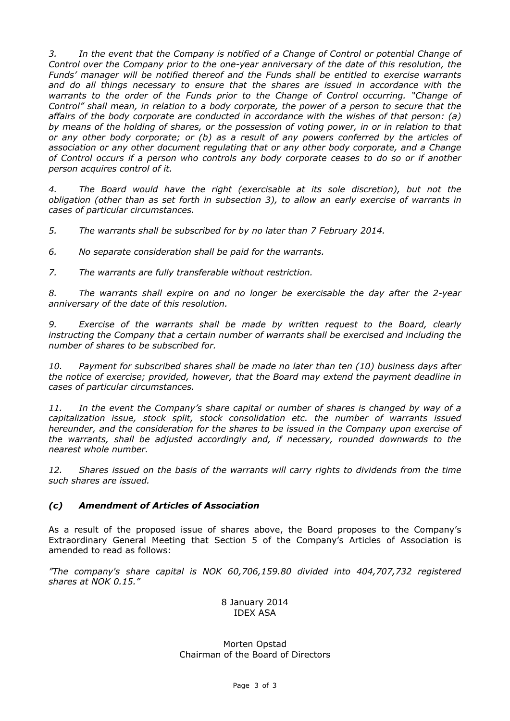*3. In the event that the Company is notified of a Change of Control or potential Change of Control over the Company prior to the one-year anniversary of the date of this resolution, the Funds' manager will be notified thereof and the Funds shall be entitled to exercise warrants and do all things necessary to ensure that the shares are issued in accordance with the warrants to the order of the Funds prior to the Change of Control occurring. "Change of Control" shall mean, in relation to a body corporate, the power of a person to secure that the affairs of the body corporate are conducted in accordance with the wishes of that person: (a) by means of the holding of shares, or the possession of voting power, in or in relation to that or any other body corporate; or (b) as a result of any powers conferred by the articles of association or any other document regulating that or any other body corporate, and a Change of Control occurs if a person who controls any body corporate ceases to do so or if another person acquires control of it.* 

*4. The Board would have the right (exercisable at its sole discretion), but not the obligation (other than as set forth in subsection 3), to allow an early exercise of warrants in cases of particular circumstances.* 

*5. The warrants shall be subscribed for by no later than 7 February 2014.* 

*6. No separate consideration shall be paid for the warrants.* 

*7. The warrants are fully transferable without restriction.* 

*8. The warrants shall expire on and no longer be exercisable the day after the 2-year anniversary of the date of this resolution.* 

*9. Exercise of the warrants shall be made by written request to the Board, clearly instructing the Company that a certain number of warrants shall be exercised and including the number of shares to be subscribed for.* 

*10. Payment for subscribed shares shall be made no later than ten (10) business days after the notice of exercise; provided, however, that the Board may extend the payment deadline in cases of particular circumstances.* 

*11. In the event the Company's share capital or number of shares is changed by way of a capitalization issue, stock split, stock consolidation etc. the number of warrants issued hereunder, and the consideration for the shares to be issued in the Company upon exercise of the warrants, shall be adjusted accordingly and, if necessary, rounded downwards to the nearest whole number.* 

*12. Shares issued on the basis of the warrants will carry rights to dividends from the time such shares are issued.* 

### *(c) Amendment of Articles of Association*

As a result of the proposed issue of shares above, the Board proposes to the Company's Extraordinary General Meeting that Section 5 of the Company's Articles of Association is amended to read as follows:

*"The company's share capital is NOK 60,706,159.80 divided into 404,707,732 registered shares at NOK 0.15."* 

> 8 January 2014 IDEX ASA

Morten Opstad Chairman of the Board of Directors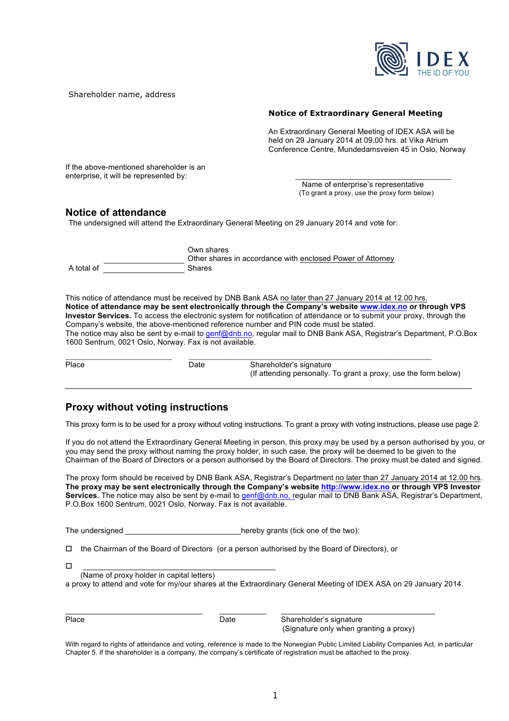

Shareholder name, address

#### **Notice of Extraordinary General Meeting**

An Extraordinary General Meeting of IDEX ASA will be held on 29 January 2014 at 09.00 hrs. at Vika Atrium Conference Centre, Mundedamsveien 45 in Oslo, Norway

If the above-mentioned shareholder is an enterprise, it will be represented by:

 Name of enterprise's representative (To grant a proxy, use the proxy form below)

#### **Notice of attendance**

The undersigned will attend the Extraordinary General Meeting on 29 January 2014 and vote for:

|            | Own shares                                                 |
|------------|------------------------------------------------------------|
|            | Other shares in accordance with enclosed Power of Attorney |
| A total of | <b>Shares</b>                                              |

This notice of attendance must be received by DNB Bank ASA no later than 27 January 2014 at 12.00 hrs. **Notice of attendance may be sent electronically through the Company's website www.idex.no or through VPS Investor Services.** To access the electronic system for notification of attendance or to submit your proxy, through the Company's website, the above-mentioned reference number and PIN code must be stated. The notice may also be sent by e-mail to genf@dnb.no, regular mail to DNB Bank ASA, Registrar's Department, P.O.Box 1600 Sentrum, 0021 Oslo, Norway. Fax is not available.

| Place | Date | Shareholder's signature<br>(If attending personally. To grant a proxy, use the form below) |
|-------|------|--------------------------------------------------------------------------------------------|

## **Proxy without voting instructions**

This proxy form is to be used for a proxy without voting instructions. To grant a proxy with voting instructions, please use page 2.

If you do not attend the Extraordinary General Meeting in person, this proxy may be used by a person authorised by you, or you may send the proxy without naming the proxy holder, in such case, the proxy will be deemed to be given to the Chairman of the Board of Directors or a person authorised by the Board of Directors. The proxy must be dated and signed.

The proxy form should be received by DNB Bank ASA, Registrar's Department no later than 27 January 2014 at 12.00 hrs. **The proxy may be sent electronically through the Company's website http://www.idex.no or through VPS Investor Services.** The notice may also be sent by e-mail to genf@dnb.no, regular mail to DNB Bank ASA, Registrar's Department, P.O.Box 1600 Sentrum, 0021 Oslo, Norway. Fax is not available.

The undersigned The undersigned and the two is the two is the two is the two is the two is the two is the two i

 $\Box$  the Chairman of the Board of Directors (or a person authorised by the Board of Directors), or

| -<br>– |               |  |
|--------|---------------|--|
|        | $\mathcal{L}$ |  |

(Name of proxy holder in capital letters)

a proxy to attend and vote for my/our shares at the Extraordinary General Meeting of IDEX ASA on 29 January 2014.

\_\_\_\_\_\_\_\_\_\_\_\_\_\_\_\_\_\_\_\_\_\_\_\_\_\_\_\_\_\_\_\_ \_\_\_\_\_\_\_\_\_\_\_ \_\_\_\_\_\_\_\_\_\_\_\_\_\_\_\_\_\_\_\_\_\_\_\_\_\_\_\_\_\_\_\_\_\_\_\_

| ×<br>×<br>٧<br>۹ |
|------------------|
|------------------|

Date Shareholder's signature (Signature only when granting a proxy)

With regard to rights of attendance and voting, reference is made to the Norwegian Public Limited Liability Companies Act, in particular Chapter 5. If the shareholder is a company, the company's certificate of registration must be attached to the proxy.